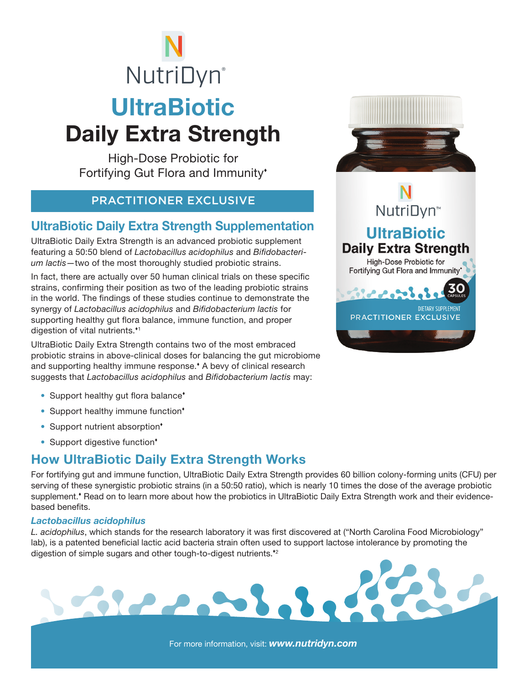# **UltraBiotic** Daily Extra Strength **NutriDyn**®

High-Dose Probiotic for Fortifying Gut Flora and Immunity

### PRACTITIONER EXCLUSIVE

## UltraBiotic Daily Extra Strength Supplementation

UltraBiotic Daily Extra Strength is an advanced probiotic supplement featuring a 50:50 blend of *Lactobacillus acidophilus* and *Bifidobacterium lactis*—two of the most thoroughly studied probiotic strains.

In fact, there are actually over 50 human clinical trials on these specific strains, confirming their position as two of the leading probiotic strains in the world. The findings of these studies continue to demonstrate the synergy of *Lactobacillus acidophilus* and *Bifidobacterium lactis* for supporting healthy gut flora balance, immune function, and proper digestion of vital nutrients.<sup>41</sup>

UltraBiotic Daily Extra Strength contains two of the most embraced probiotic strains in above-clinical doses for balancing the gut microbiome and supporting healthy immune response. A bevy of clinical research suggests that *Lactobacillus acidophilus* and *Bifidobacterium lactis* may:

- Support healthy gut flora balance<sup>\*</sup>
- Support healthy immune function\*
- Support nutrient absorption<sup>\*</sup>
- Support digestive function\*

# How UltraBiotic Daily Extra Strength Works

Sierris!

For fortifying gut and immune function, UltraBiotic Daily Extra Strength provides 60 billion colony-forming units (CFU) per serving of these synergistic probiotic strains (in a 50:50 ratio), which is nearly 10 times the dose of the average probiotic supplement.<sup>•</sup> Read on to learn more about how the probiotics in UltraBiotic Daily Extra Strength work and their evidencebased benefits.

#### *Lactobacillus acidophilus*

*L. acidophilus*, which stands for the research laboratory it was first discovered at ("North Carolina Food Microbiology" lab), is a patented beneficial lactic acid bacteria strain often used to support lactose intolerance by promoting the digestion of simple sugars and other tough-to-digest nutrients.<sup>42</sup>





For more information, visit: *www.nutridyn.com*